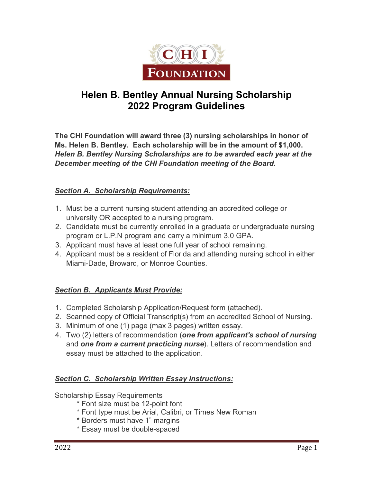

# **Helen B. Bentley Annual Nursing Scholarship 2022 Program Guidelines**

**The CHI Foundation will award three (3) nursing scholarships in honor of Ms. Helen B. Bentley. Each scholarship will be in the amount of \$1,000.** *Helen B. Bentley Nursing Scholarships are to be awarded each year at the December meeting of the CHI Foundation meeting of the Board.* 

### *Section A. Scholarship Requirements:*

- 1. Must be a current nursing student attending an accredited college or university OR accepted to a nursing program.
- 2. Candidate must be currently enrolled in a graduate or undergraduate nursing program or L.P.N program and carry a minimum 3.0 GPA.
- 3. Applicant must have at least one full year of school remaining.
- 4. Applicant must be a resident of Florida and attending nursing school in either Miami-Dade, Broward, or Monroe Counties.

## *Section B. Applicants Must Provide:*

- 1. Completed Scholarship Application/Request form (attached).
- 2. Scanned copy of Official Transcript(s) from an accredited School of Nursing.
- 3. Minimum of one (1) page (max 3 pages) written essay.
- 4. Two (2) letters of recommendation (*one from applicant's school of nursing* and *one from a current practicing nurse*). Letters of recommendation and essay must be attached to the application.

### *Section C. Scholarship Written Essay Instructions:*

Scholarship Essay Requirements

- \* Font size must be 12-point font
- \* Font type must be Arial, Calibri, or Times New Roman
- \* Borders must have 1" margins
- \* Essay must be double-spaced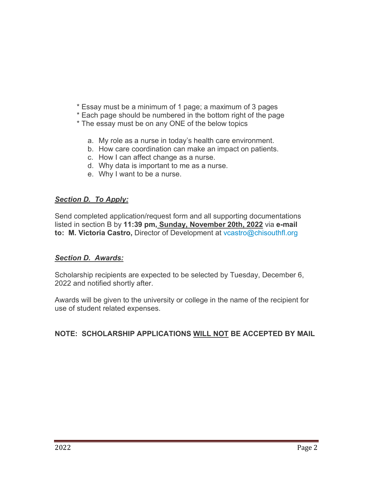- \* Essay must be a minimum of 1 page; a maximum of 3 pages
- \* Each page should be numbered in the bottom right of the page
- \* The essay must be on any ONE of the below topics
	- a. My role as a nurse in today's health care environment.
	- b. How care coordination can make an impact on patients.
	- c. How I can affect change as a nurse.
	- d. Why data is important to me as a nurse.
	- e. Why I want to be a nurse.

### *Section D. To Apply:*

Send completed application/request form and all supporting documentations listed in section B by **11:39 pm, Sunday, November 20th, 2022** via **e-mail to: M. Victoria Castro,** Director of Development at [vcastro@chisouthfl.org](mailto:vcastro@chisouthfl.org)

### *Section D. Awards:*

Scholarship recipients are expected to be selected by Tuesday, December 6, 2022 and notified shortly after.

Awards will be given to the university or college in the name of the recipient for use of student related expenses.

## **NOTE: SCHOLARSHIP APPLICATIONS WILL NOT BE ACCEPTED BY MAIL**